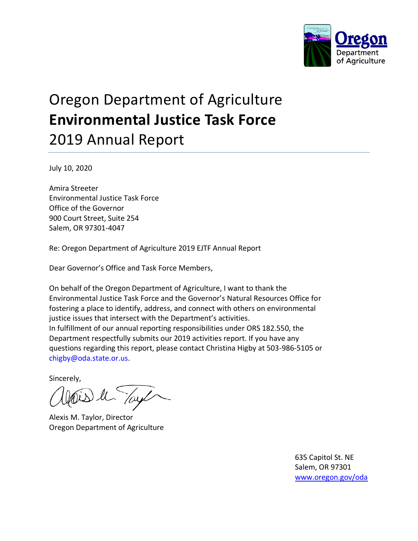

## Oregon Department of Agriculture **Environmental Justice Task Force**  2019 Annual Report

July 10, 2020

Amira Streeter Environmental Justice Task Force Office of the Governor 900 Court Street, Suite 254 Salem, OR 97301-4047

Re: Oregon Department of Agriculture 2019 EJTF Annual Report

Dear Governor's Office and Task Force Members,

On behalf of the Oregon Department of Agriculture, I want to thank the Environmental Justice Task Force and the Governor's Natural Resources Office for fostering a place to identify, address, and connect with others on environmental justice issues that intersect with the Department's activities. In fulfillment of our annual reporting responsibilities under ORS 182.550, the Department respectfully submits our 2019 activities report. If you have any questions regarding this report, please contact Christina Higby at 503-986-5105 or chigby@oda.state.or.us.

Sincerely,

is le Tay

Alexis M. Taylor, Director Oregon Department of Agriculture

635 Capitol St. NE Salem, OR 97301 [www.oregon.gov/oda](http://www.oregon.gov/oda)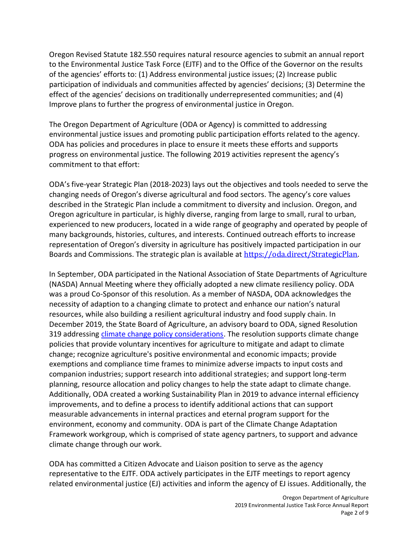Oregon Revised Statute 182.550 requires natural resource agencies to submit an annual report to the Environmental Justice Task Force (EJTF) and to the Office of the Governor on the results of the agencies' efforts to: (1) Address environmental justice issues; (2) Increase public participation of individuals and communities affected by agencies' decisions; (3) Determine the effect of the agencies' decisions on traditionally underrepresented communities; and (4) Improve plans to further the progress of environmental justice in Oregon.

The Oregon Department of Agriculture (ODA or Agency) is committed to addressing environmental justice issues and promoting public participation efforts related to the agency. ODA has policies and procedures in place to ensure it meets these efforts and supports progress on environmental justice. The following 2019 activities represent the agency's commitment to that effort:

ODA's five-year Strategic Plan (2018-2023) lays out the objectives and tools needed to serve the changing needs of Oregon's diverse agricultural and food sectors. The agency's core values described in the Strategic Plan include a commitment to diversity and inclusion. Oregon, and Oregon agriculture in particular, is highly diverse, ranging from large to small, rural to urban, experienced to new producers, located in a wide range of geography and operated by people of many backgrounds, histories, cultures, and interests. Continued outreach efforts to increase representation of Oregon's diversity in agriculture has positively impacted participation in our Boards and Commissions. The strategic plan is available at [https://oda.direct/StrategicPlan.](https://oda.direct/StrategicPlan)

In September, ODA participated in the National Association of State Departments of Agriculture (NASDA) Annual Meeting where they officially adopted a new climate resiliency policy. ODA was a proud Co-Sponsor of this resolution. As a member of NASDA, ODA acknowledges the necessity of adaption to a changing climate to protect and enhance our nation's natural resources, while also building a resilient agricultural industry and food supply chain. In December 2019, the State Board of Agriculture, an advisory board to ODA, signed Resolution 319 addressing [climate change policy considerations.](https://www.oregon.gov/ODA/AboutUs/Documents/Board%20of%20Agriculture/BOAActiveResolutions.pdf) The resolution supports climate change policies that provide voluntary incentives for agriculture to mitigate and adapt to climate change; recognize agriculture's positive environmental and economic impacts; provide exemptions and compliance time frames to minimize adverse impacts to input costs and companion industries; support research into additional strategies; and support long-term planning, resource allocation and policy changes to help the state adapt to climate change. Additionally, ODA created a working Sustainability Plan in 2019 to advance internal efficiency improvements, and to define a process to identify additional actions that can support measurable advancements in internal practices and eternal program support for the environment, economy and community. ODA is part of the Climate Change Adaptation Framework workgroup, which is comprised of state agency partners, to support and advance climate change through our work.

ODA has committed a Citizen Advocate and Liaison position to serve as the agency representative to the EJTF. ODA actively participates in the EJTF meetings to report agency related environmental justice (EJ) activities and inform the agency of EJ issues. Additionally, the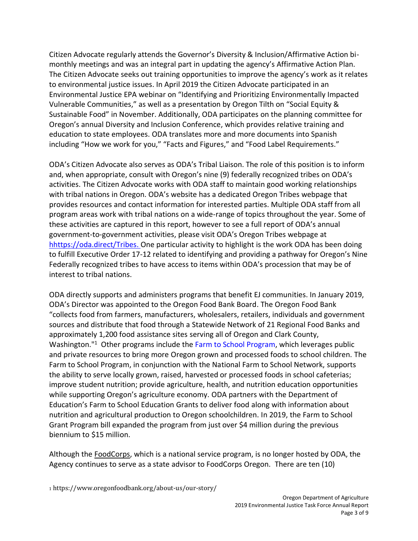Citizen Advocate regularly attends the Governor's Diversity & Inclusion/Affirmative Action bimonthly meetings and was an integral part in updating the agency's Affirmative Action Plan. The Citizen Advocate seeks out training opportunities to improve the agency's work as it relates to environmental justice issues. In April 2019 the Citizen Advocate participated in an Environmental Justice EPA webinar on "Identifying and Prioritizing Environmentally Impacted Vulnerable Communities," as well as a presentation by Oregon Tilth on "Social Equity & Sustainable Food" in November. Additionally, ODA participates on the planning committee for Oregon's annual Diversity and Inclusion Conference, which provides relative training and education to state employees. ODA translates more and more documents into Spanish including "How we work for you," "Facts and Figures," and "Food Label Requirements."

ODA's Citizen Advocate also serves as ODA's Tribal Liaison. The role of this position is to inform and, when appropriate, consult with Oregon's nine (9) federally recognized tribes on ODA's activities. The Citizen Advocate works with ODA staff to maintain good working relationships with tribal nations in Oregon. ODA's website has a dedicated Oregon Tribes webpage that provides resources and contact information for interested parties. Multiple ODA staff from all program areas work with tribal nations on a wide-range of topics throughout the year. Some of these activities are captured in this report, however to see a full report of ODA's annual government-to-government activities, please visit ODA's Oregon Tribes webpage at [hhttps://oda.direct/Tribes.](https://www.oregon.gov/ODA/agriculture/Pages/Tribes.aspx) One particular activity to highlight is the work ODA has been doing to fulfill Executive Order 17-12 related to identifying and providing a pathway for Oregon's Nine Federally recognized tribes to have access to items within ODA's procession that may be of interest to tribal nations.

ODA directly supports and administers programs that benefit EJ communities. In January 2019, ODA's Director was appointed to the Oregon Food Bank Board. The Oregon Food Bank "collects food from farmers, manufacturers, wholesalers, retailers, individuals and government sources and distribute that food through a Statewide Network [of 21 Regional Food Banks](https://www.oregonfoodbank.org/our-work/partnerships/statewide-network/) and approximately [1,200 food assistance sites](https://www.oregonfoodbank.org/our-work/partnerships/partner-agencies/) serving all of Oregon and Clark County, Washington."<sup>1</sup> Other programs include the [Farm to School Program,](https://www.oregon.gov/ODA/programs/MarketAccess/Pages/FarmtoSchool.aspx) which leverages public and private resources to bring more Oregon grown and processed foods to school children. The Farm to School Program, in conjunction with the National Farm to School Network, supports the ability to serve locally grown, raised, harvested or processed foods in school cafeterias; improve student nutrition; provide agriculture, health, and nutrition education opportunities while supporting Oregon's agriculture economy. ODA partners with the Department of Education's Farm to School Education Grants to deliver food along with information about nutrition and agricultural production to Oregon schoolchildren. In 2019, the Farm to School Grant Program bill expanded the program from just over \$4 million during the previous biennium to \$15 million.

Although the FoodCorps, which is a national service program, is no longer hosted by ODA, the Agency continues to serve as a state advisor to FoodCorps Oregon. There are ten (10)

<sup>1</sup> https://www.oregonfoodbank.org/about-us/our-story/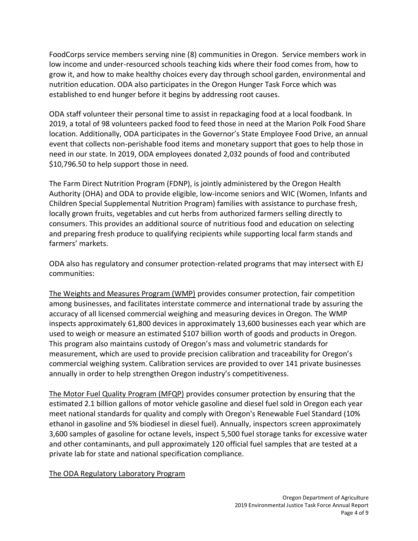FoodCorps service members serving nine (8) communities in Oregon. Service members work in low income and under-resourced schools teaching kids where their food comes from, how to grow it, and how to make healthy choices every day through school garden, environmental and nutrition education. ODA also participates in the Oregon Hunger Task Force which was established to end hunger before it begins by addressing root causes.

ODA staff volunteer their personal time to assist in repackaging food at a local foodbank. In 2019, a total of 98 volunteers packed food to feed those in need at the Marion Polk Food Share location. Additionally, ODA participates in the Governor's State Employee Food Drive, an annual event that collects non-perishable food items and monetary support that goes to help those in need in our state. In 2019, ODA employees donated 2,032 pounds of food and contributed \$10,796.50 to help support those in need.

The Farm Direct Nutrition Program (FDNP), is jointly administered by the Oregon Health Authority (OHA) and ODA to provide eligible, low-income seniors and WIC (Women, Infants and Children Special Supplemental Nutrition Program) families with assistance to purchase fresh, locally grown fruits, vegetables and cut herbs from authorized farmers selling directly to consumers. This provides an additional source of nutritious food and education on selecting and preparing fresh produce to qualifying recipients while supporting local farm stands and farmers' markets.

ODA also has regulatory and consumer protection-related programs that may intersect with EJ communities:

The Weights and Measures Program (WMP) provides consumer protection, fair competition among businesses, and facilitates interstate commerce and international trade by assuring the accuracy of all licensed commercial weighing and measuring devices in Oregon. The WMP inspects approximately 61,800 devices in approximately 13,600 businesses each year which are used to weigh or measure an estimated \$107 billion worth of goods and products in Oregon. This program also maintains custody of Oregon's mass and volumetric standards for measurement, which are used to provide precision calibration and traceability for Oregon's commercial weighing system. Calibration services are provided to over 141 private businesses annually in order to help strengthen Oregon industry's competitiveness.

The Motor Fuel Quality Program (MFQP) provides consumer protection by ensuring that the estimated 2.1 billion gallons of motor vehicle gasoline and diesel fuel sold in Oregon each year meet national standards for quality and comply with Oregon's Renewable Fuel Standard (10% ethanol in gasoline and 5% biodiesel in diesel fuel). Annually, inspectors screen approximately 3,600 samples of gasoline for octane levels, inspect 5,500 fuel storage tanks for excessive water and other contaminants, and pull approximately 120 official fuel samples that are tested at a private lab for state and national specification compliance.

## The ODA Regulatory Laboratory Program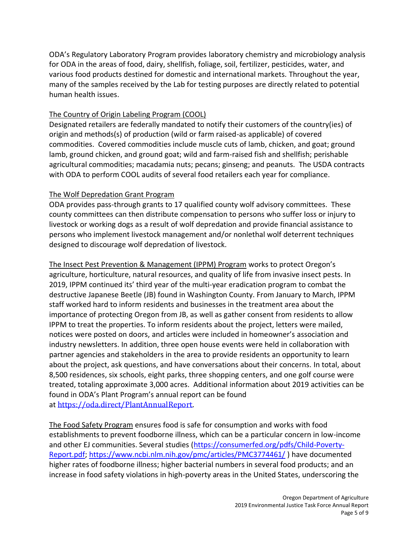ODA's Regulatory Laboratory Program provides laboratory chemistry and microbiology analysis for ODA in the areas of food, dairy, shellfish, foliage, soil, fertilizer, pesticides, water, and various food products destined for domestic and international markets. Throughout the year, many of the samples received by the Lab for testing purposes are directly related to potential human health issues.

## The Country of Origin Labeling Program (COOL)

Designated retailers are federally mandated to notify their customers of the country(ies) of origin and methods(s) of production (wild or farm raised-as applicable) of covered commodities. Covered commodities include muscle cuts of lamb, chicken, and goat; ground lamb, ground chicken, and ground goat; wild and farm-raised fish and shellfish; perishable agricultural commodities; macadamia nuts; pecans; ginseng; and peanuts. The USDA contracts with ODA to perform COOL audits of several food retailers each year for compliance.

## The Wolf Depredation Grant Program

ODA provides pass-through grants to 17 qualified county wolf advisory committees. These county committees can then distribute compensation to persons who suffer loss or injury to livestock or working dogs as a result of wolf depredation and provide financial assistance to persons who implement livestock management and/or nonlethal wolf deterrent techniques designed to discourage wolf depredation of livestock.

The Insect Pest Prevention & Management (IPPM) Program works to protect Oregon's agriculture, horticulture, natural resources, and quality of life from invasive insect pests. In 2019, IPPM continued its' third year of the multi-year eradication program to combat the destructive Japanese Beetle (JB) found in Washington County. From January to March, IPPM staff worked hard to inform residents and businesses in the treatment area about the importance of protecting Oregon from JB, as well as gather consent from residents to allow IPPM to treat the properties. To inform residents about the project, letters were mailed, notices were posted on doors, and articles were included in homeowner's association and industry newsletters. In addition, three open house events were held in collaboration with partner agencies and stakeholders in the area to provide residents an opportunity to learn about the project, ask questions, and have conversations about their concerns. In total, about 8,500 residences, six schools, eight parks, three shopping centers, and one golf course were treated, totaling approximate 3,000 acres. Additional information about 2019 activities can be found in ODA's Plant Program's annual report can be found at [https://oda.direct/PlantAnnualReport.](https://oda.direct/PlantAnnualReport)

The Food Safety Program ensures food is safe for consumption and works with food establishments to prevent foodborne illness, which can be a particular concern in low-income and other EJ communities. Several studies [\(https://consumerfed.org/pdfs/Child-Poverty-](https://consumerfed.org/pdfs/Child-Poverty-Report.pdf)[Report.pdf;](https://consumerfed.org/pdfs/Child-Poverty-Report.pdf)<https://www.ncbi.nlm.nih.gov/pmc/articles/PMC3774461/> ) have documented higher rates of foodborne illness; higher bacterial numbers in several food products; and an increase in food safety violations in high-poverty areas in the United States, underscoring the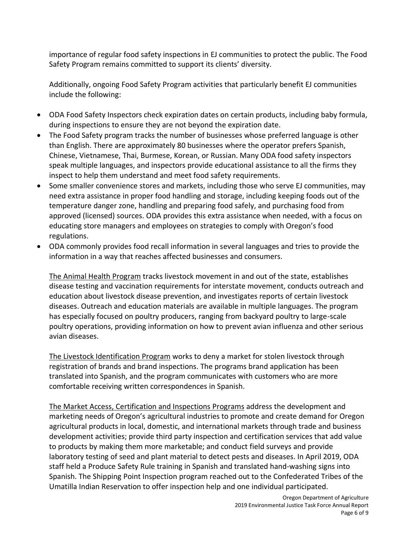importance of regular food safety inspections in EJ communities to protect the public. The Food Safety Program remains committed to support its clients' diversity.

Additionally, ongoing Food Safety Program activities that particularly benefit EJ communities include the following:

- ODA Food Safety Inspectors check expiration dates on certain products, including baby formula, during inspections to ensure they are not beyond the expiration date.
- The Food Safety program tracks the number of businesses whose preferred language is other than English. There are approximately 80 businesses where the operator prefers Spanish, Chinese, Vietnamese, Thai, Burmese, Korean, or Russian. Many ODA food safety inspectors speak multiple languages, and inspectors provide educational assistance to all the firms they inspect to help them understand and meet food safety requirements.
- Some smaller convenience stores and markets, including those who serve EJ communities, may need extra assistance in proper food handling and storage, including keeping foods out of the temperature danger zone, handling and preparing food safely, and purchasing food from approved (licensed) sources. ODA provides this extra assistance when needed, with a focus on educating store managers and employees on strategies to comply with Oregon's food regulations.
- ODA commonly provides food recall information in several languages and tries to provide the information in a way that reaches affected businesses and consumers.

The Animal Health Program tracks livestock movement in and out of the state, establishes disease testing and vaccination requirements for interstate movement, conducts outreach and education about livestock disease prevention, and investigates reports of certain livestock diseases. Outreach and education materials are available in multiple languages. The program has especially focused on poultry producers, ranging from backyard poultry to large-scale poultry operations, providing information on how to prevent avian influenza and other serious avian diseases.

The Livestock Identification Program works to deny a market for stolen livestock through registration of brands and brand inspections. The programs brand application has been translated into Spanish, and the program communicates with customers who are more comfortable receiving written correspondences in Spanish.

The Market Access, Certification and Inspections Programs address the development and marketing needs of Oregon's agricultural industries to promote and create demand for Oregon agricultural products in local, domestic, and international markets through trade and business development activities; provide third party inspection and certification services that add value to products by making them more marketable; and conduct field surveys and provide laboratory testing of seed and plant material to detect pests and diseases. In April 2019, ODA staff held a Produce Safety Rule training in Spanish and translated hand-washing signs into Spanish. The Shipping Point Inspection program reached out to the Confederated Tribes of the Umatilla Indian Reservation to offer inspection help and one individual participated.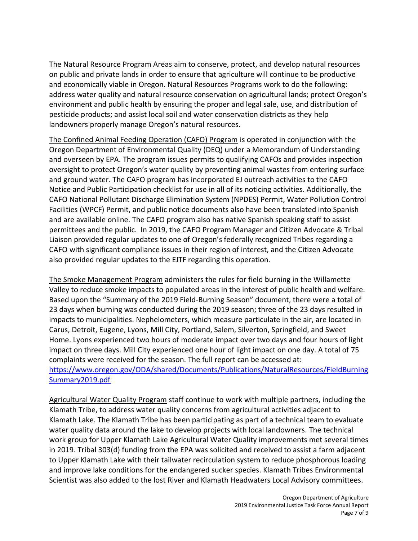The Natural Resource Program Areas aim to conserve, protect, and develop natural resources on public and private lands in order to ensure that agriculture will continue to be productive and economically viable in Oregon. Natural Resources Programs work to do the following: address water quality and natural resource conservation on agricultural lands; protect Oregon's environment and public health by ensuring the proper and legal sale, use, and distribution of pesticide products; and assist local soil and water conservation districts as they help landowners properly manage Oregon's natural resources.

The Confined Animal Feeding Operation (CAFO) Program is operated in conjunction with the Oregon Department of Environmental Quality (DEQ) under a Memorandum of Understanding and overseen by EPA. The program issues permits to qualifying CAFOs and provides inspection oversight to protect Oregon's water quality by preventing animal wastes from entering surface and ground water. The CAFO program has incorporated EJ outreach activities to the CAFO Notice and Public Participation checklist for use in all of its noticing activities. Additionally, the CAFO National Pollutant Discharge Elimination System (NPDES) Permit, Water Pollution Control Facilities (WPCF) Permit, and public notice documents also have been translated into Spanish and are available online. The CAFO program also has native Spanish speaking staff to assist permittees and the public. In 2019, the CAFO Program Manager and Citizen Advocate & Tribal Liaison provided regular updates to one of Oregon's federally recognized Tribes regarding a CAFO with significant compliance issues in their region of interest, and the Citizen Advocate also provided regular updates to the EJTF regarding this operation.

The Smoke Management Program administers the rules for field burning in the Willamette Valley to reduce smoke impacts to populated areas in the interest of public health and welfare. Based upon the "Summary of the 2019 Field-Burning Season" document, there were a total of 23 days when burning was conducted during the 2019 season; three of the 23 days resulted in impacts to municipalities. Nephelometers, which measure particulate in the air, are located in Carus, Detroit, Eugene, Lyons, Mill City, Portland, Salem, Silverton, Springfield, and Sweet Home. Lyons experienced two hours of moderate impact over two days and four hours of light impact on three days. Mill City experienced one hour of light impact on one day. A total of 75 complaints were received for the season. The full report can be accessed at: [https://www.oregon.gov/ODA/shared/Documents/Publications/NaturalResources/FieldBurning](https://www.oregon.gov/ODA/shared/Documents/Publications/NaturalResources/FieldBurningSummary2019.pdf) [Summary2019.pdf](https://www.oregon.gov/ODA/shared/Documents/Publications/NaturalResources/FieldBurningSummary2019.pdf)

Agricultural Water Quality Program staff continue to work with multiple partners, including the Klamath Tribe, to address water quality concerns from agricultural activities adjacent to Klamath Lake. The Klamath Tribe has been participating as part of a technical team to evaluate water quality data around the lake to develop projects with local landowners. The technical work group for Upper Klamath Lake Agricultural Water Quality improvements met several times in 2019. Tribal 303(d) funding from the EPA was solicited and received to assist a farm adjacent to Upper Klamath Lake with their tailwater recirculation system to reduce phosphorous loading and improve lake conditions for the endangered sucker species. Klamath Tribes Environmental Scientist was also added to the lost River and Klamath Headwaters Local Advisory committees.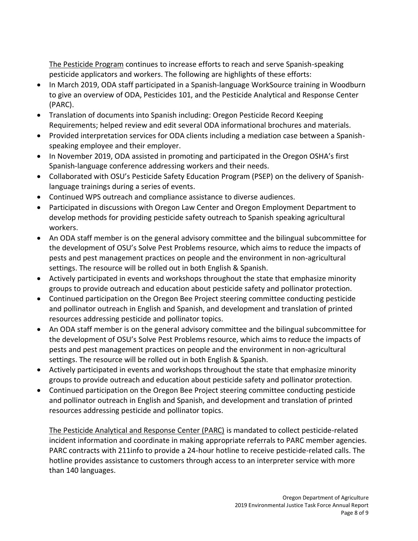The Pesticide Program continues to increase efforts to reach and serve Spanish-speaking pesticide applicators and workers. The following are highlights of these efforts:

- In March 2019, ODA staff participated in a Spanish-language WorkSource training in Woodburn to give an overview of ODA, Pesticides 101, and the Pesticide Analytical and Response Center (PARC).
- Translation of documents into Spanish including: Oregon Pesticide Record Keeping Requirements; helped review and edit several ODA informational brochures and materials.
- Provided interpretation services for ODA clients including a mediation case between a Spanishspeaking employee and their employer.
- In November 2019, ODA assisted in promoting and participated in the Oregon OSHA's first Spanish-language conference addressing workers and their needs.
- Collaborated with OSU's Pesticide Safety Education Program (PSEP) on the delivery of Spanishlanguage trainings during a series of events.
- Continued WPS outreach and compliance assistance to diverse audiences.
- Participated in discussions with Oregon Law Center and Oregon Employment Department to develop methods for providing pesticide safety outreach to Spanish speaking agricultural workers.
- An ODA staff member is on the general advisory committee and the bilingual subcommittee for the development of OSU's Solve Pest Problems resource, which aims to reduce the impacts of pests and pest management practices on people and the environment in non-agricultural settings. The resource will be rolled out in both English & Spanish.
- Actively participated in events and workshops throughout the state that emphasize minority groups to provide outreach and education about pesticide safety and pollinator protection.
- Continued participation on the Oregon Bee Project steering committee conducting pesticide and pollinator outreach in English and Spanish, and development and translation of printed resources addressing pesticide and pollinator topics.
- An ODA staff member is on the general advisory committee and the bilingual subcommittee for the development of OSU's Solve Pest Problems resource, which aims to reduce the impacts of pests and pest management practices on people and the environment in non-agricultural settings. The resource will be rolled out in both English & Spanish.
- Actively participated in events and workshops throughout the state that emphasize minority groups to provide outreach and education about pesticide safety and pollinator protection.
- Continued participation on the Oregon Bee Project steering committee conducting pesticide and pollinator outreach in English and Spanish, and development and translation of printed resources addressing pesticide and pollinator topics.

The Pesticide Analytical and Response Center (PARC) is mandated to collect pesticide-related incident information and coordinate in making appropriate referrals to PARC member agencies. PARC contracts with 211info to provide a 24-hour hotline to receive pesticide-related calls. The hotline provides assistance to customers through access to an interpreter service with more than 140 languages.